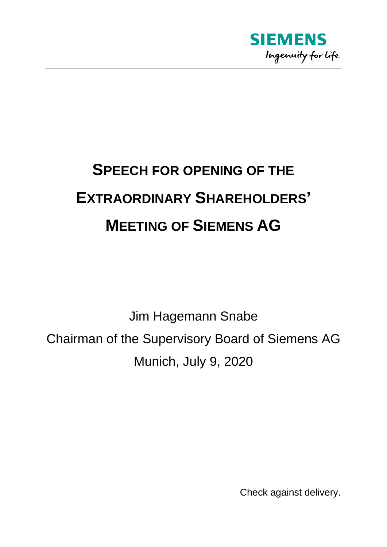

## **SPEECH FOR OPENING OF THE EXTRAORDINARY SHAREHOLDERS' MEETING OF SIEMENS AG**

Jim Hagemann Snabe Chairman of the Supervisory Board of Siemens AG Munich, July 9, 2020

Check against delivery.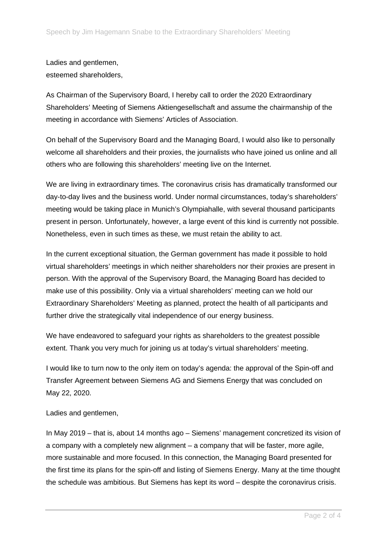## Ladies and gentlemen, esteemed shareholders,

As Chairman of the Supervisory Board, I hereby call to order the 2020 Extraordinary Shareholders' Meeting of Siemens Aktiengesellschaft and assume the chairmanship of the meeting in accordance with Siemens' Articles of Association.

On behalf of the Supervisory Board and the Managing Board, I would also like to personally welcome all shareholders and their proxies, the journalists who have joined us online and all others who are following this shareholders' meeting live on the Internet.

We are living in extraordinary times. The coronavirus crisis has dramatically transformed our day-to-day lives and the business world. Under normal circumstances, today's shareholders' meeting would be taking place in Munich's Olympiahalle, with several thousand participants present in person. Unfortunately, however, a large event of this kind is currently not possible. Nonetheless, even in such times as these, we must retain the ability to act.

In the current exceptional situation, the German government has made it possible to hold virtual shareholders' meetings in which neither shareholders nor their proxies are present in person. With the approval of the Supervisory Board, the Managing Board has decided to make use of this possibility. Only via a virtual shareholders' meeting can we hold our Extraordinary Shareholders' Meeting as planned, protect the health of all participants and further drive the strategically vital independence of our energy business.

We have endeavored to safeguard your rights as shareholders to the greatest possible extent. Thank you very much for joining us at today's virtual shareholders' meeting.

I would like to turn now to the only item on today's agenda: the approval of the Spin-off and Transfer Agreement between Siemens AG and Siemens Energy that was concluded on May 22, 2020.

## Ladies and gentlemen,

In May 2019 – that is, about 14 months ago – Siemens' management concretized its vision of a company with a completely new alignment – a company that will be faster, more agile, more sustainable and more focused. In this connection, the Managing Board presented for the first time its plans for the spin-off and listing of Siemens Energy. Many at the time thought the schedule was ambitious. But Siemens has kept its word – despite the coronavirus crisis.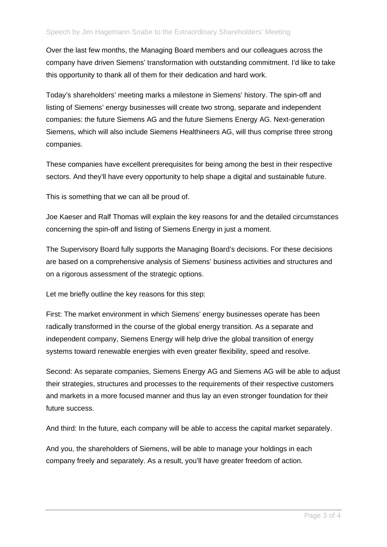Over the last few months, the Managing Board members and our colleagues across the company have driven Siemens' transformation with outstanding commitment. I'd like to take this opportunity to thank all of them for their dedication and hard work.

Today's shareholders' meeting marks a milestone in Siemens' history. The spin-off and listing of Siemens' energy businesses will create two strong, separate and independent companies: the future Siemens AG and the future Siemens Energy AG. Next-generation Siemens, which will also include Siemens Healthineers AG, will thus comprise three strong companies.

These companies have excellent prerequisites for being among the best in their respective sectors. And they'll have every opportunity to help shape a digital and sustainable future.

This is something that we can all be proud of.

Joe Kaeser and Ralf Thomas will explain the key reasons for and the detailed circumstances concerning the spin-off and listing of Siemens Energy in just a moment.

The Supervisory Board fully supports the Managing Board's decisions. For these decisions are based on a comprehensive analysis of Siemens' business activities and structures and on a rigorous assessment of the strategic options.

Let me briefly outline the key reasons for this step:

First: The market environment in which Siemens' energy businesses operate has been radically transformed in the course of the global energy transition. As a separate and independent company, Siemens Energy will help drive the global transition of energy systems toward renewable energies with even greater flexibility, speed and resolve.

Second: As separate companies, Siemens Energy AG and Siemens AG will be able to adjust their strategies, structures and processes to the requirements of their respective customers and markets in a more focused manner and thus lay an even stronger foundation for their future success.

And third: In the future, each company will be able to access the capital market separately.

And you, the shareholders of Siemens, will be able to manage your holdings in each company freely and separately. As a result, you'll have greater freedom of action.